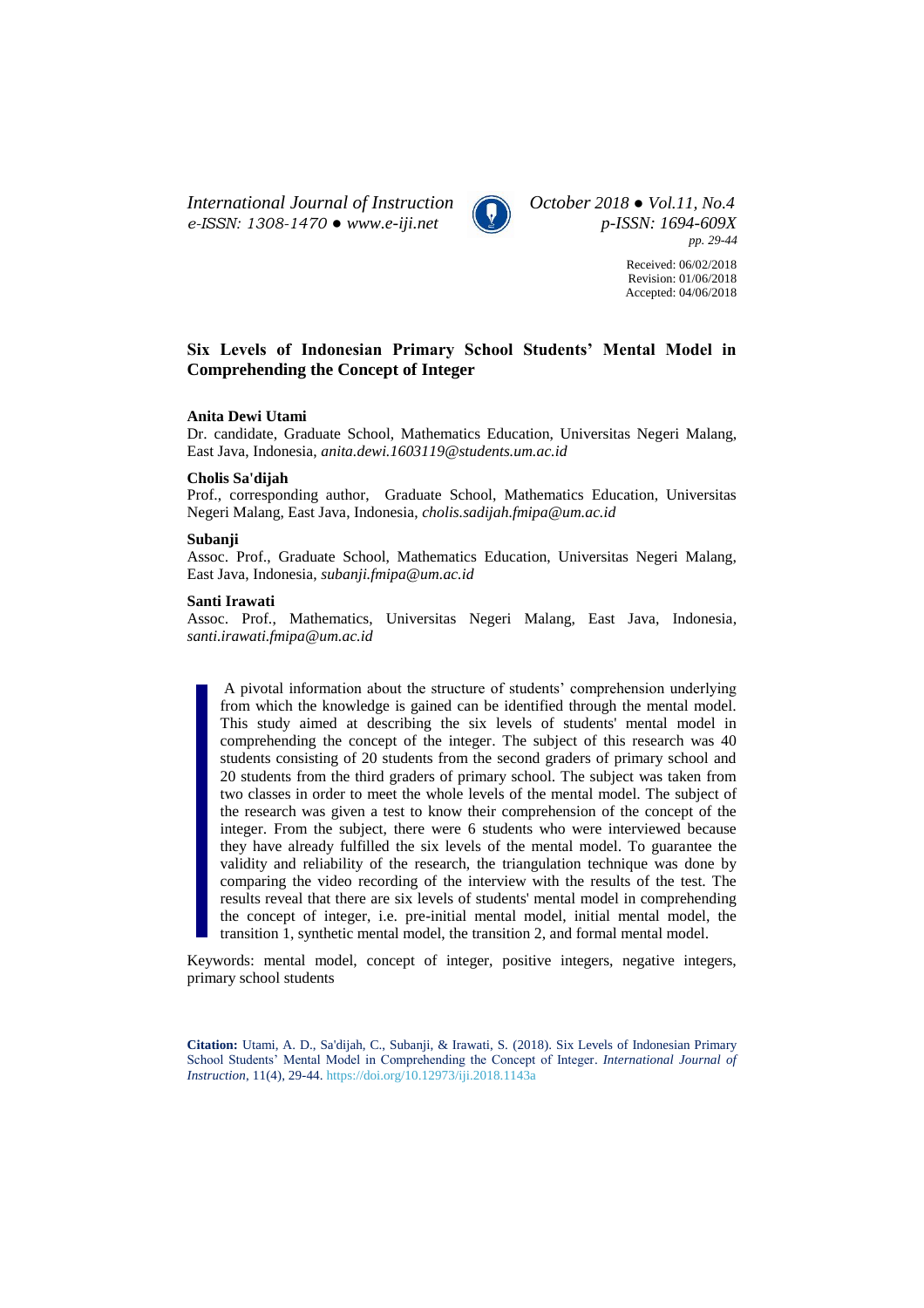*International Journal of Instruction October 2018 ● Vol.11, No.4 e-ISSN: 1308-1470 ● [www.e-iji.net](http://www.e-iji.net/) p-ISSN: 1694-609X*



*pp. 29-44*

Received: 06/02/2018 Revision: 01/06/2018 Accepted: 04/06/2018

# **Six Levels of Indonesian Primary School Students' Mental Model in Comprehending the Concept of Integer**

#### **Anita Dewi Utami**

Dr. candidate, Graduate School, Mathematics Education, Universitas Negeri Malang, East Java, Indonesia, *anita.dewi.1603119@students.um.ac.id*

#### **Cholis Sa'dijah**

Prof., corresponding author, Graduate School, Mathematics Education, Universitas Negeri Malang, East Java, Indonesia, *cholis.sadijah.fmipa@um.ac.id*

### **Subanji**

Assoc. Prof., Graduate School, Mathematics Education, Universitas Negeri Malang, East Java, Indonesia, *subanji.fmipa@um.ac.id*

#### **Santi Irawati**

Assoc. Prof., Mathematics, Universitas Negeri Malang, East Java, Indonesia, *santi.irawati.fmipa@um.ac.id*

A pivotal information about the structure of students' comprehension underlying from which the knowledge is gained can be identified through the mental model. This study aimed at describing the six levels of students' mental model in comprehending the concept of the integer. The subject of this research was 40 students consisting of 20 students from the second graders of primary school and 20 students from the third graders of primary school. The subject was taken from two classes in order to meet the whole levels of the mental model. The subject of the research was given a test to know their comprehension of the concept of the integer. From the subject, there were 6 students who were interviewed because they have already fulfilled the six levels of the mental model. To guarantee the validity and reliability of the research, the triangulation technique was done by comparing the video recording of the interview with the results of the test. The results reveal that there are six levels of students' mental model in comprehending the concept of integer, i.e. pre-initial mental model, initial mental model, the transition 1, synthetic mental model, the transition 2, and formal mental model.

Keywords: mental model, concept of integer, positive integers, negative integers, primary school students

**Citation:** Utami, A. D., Sa'dijah, C., Subanji, & Irawati, S. (2018). Six Levels of Indonesian Primary School Students' Mental Model in Comprehending the Concept of Integer. *International Journal of Instruction*, 11(4), 29-44. <https://doi.org/10.12973/iji.2018.1143a>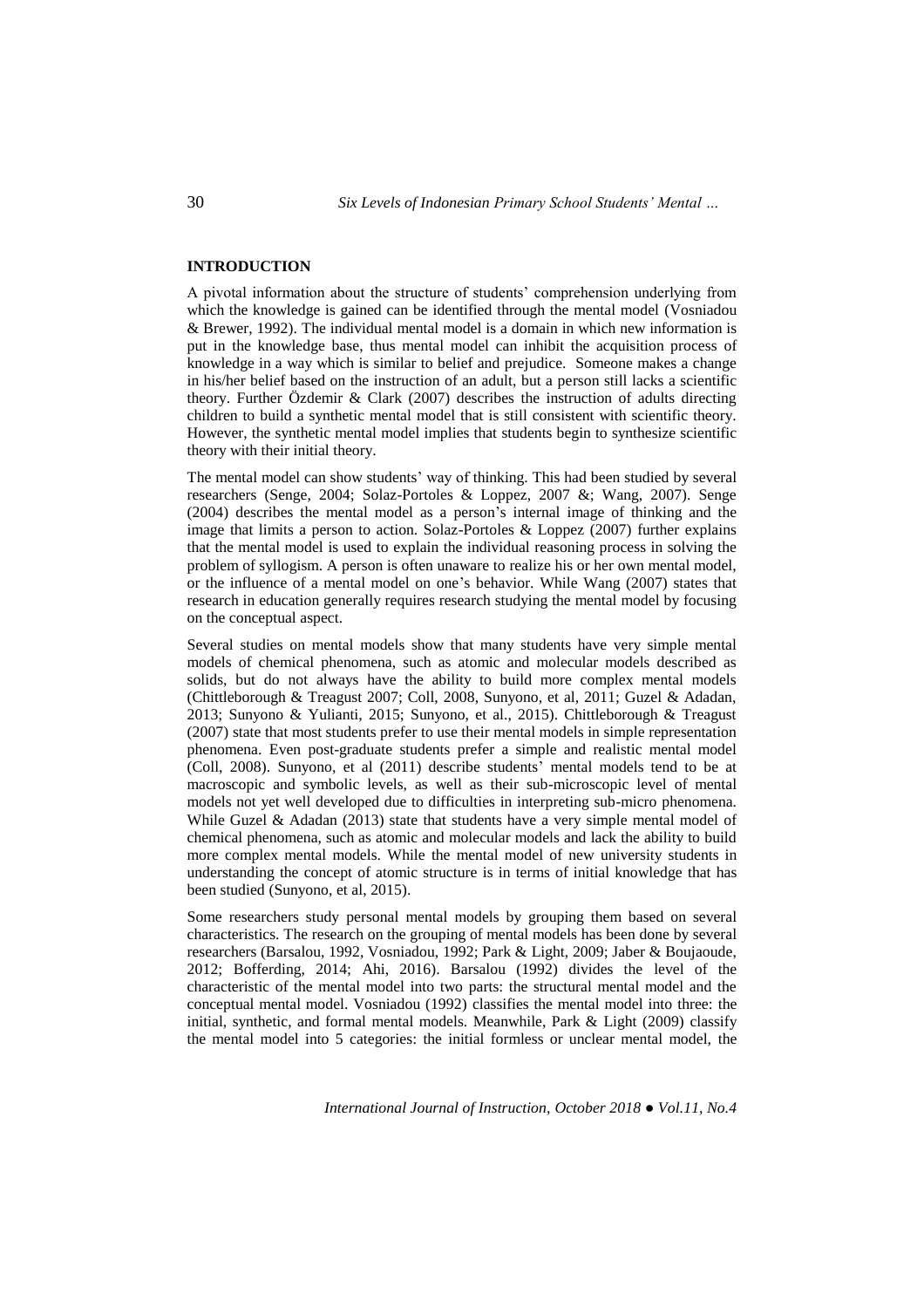## **INTRODUCTION**

A pivotal information about the structure of students' comprehension underlying from which the knowledge is gained can be identified through the mental model (Vosniadou & Brewer, 1992). The individual mental model is a domain in which new information is put in the knowledge base, thus mental model can inhibit the acquisition process of knowledge in a way which is similar to belief and prejudice. Someone makes a change in his/her belief based on the instruction of an adult, but a person still lacks a scientific theory. Further Özdemir & Clark (2007) describes the instruction of adults directing children to build a synthetic mental model that is still consistent with scientific theory. However, the synthetic mental model implies that students begin to synthesize scientific theory with their initial theory.

The mental model can show students' way of thinking. This had been studied by several researchers (Senge, 2004; Solaz-Portoles & Loppez, 2007 &; Wang, 2007). Senge (2004) describes the mental model as a person's internal image of thinking and the image that limits a person to action. Solaz-Portoles & Loppez (2007) further explains that the mental model is used to explain the individual reasoning process in solving the problem of syllogism. A person is often unaware to realize his or her own mental model, or the influence of a mental model on one's behavior. While Wang (2007) states that research in education generally requires research studying the mental model by focusing on the conceptual aspect.

Several studies on mental models show that many students have very simple mental models of chemical phenomena, such as atomic and molecular models described as solids, but do not always have the ability to build more complex mental models (Chittleborough & Treagust 2007; Coll, 2008, Sunyono, et al, 2011; Guzel & Adadan, 2013; Sunyono & Yulianti, 2015; Sunyono, et al., 2015). Chittleborough & Treagust (2007) state that most students prefer to use their mental models in simple representation phenomena. Even post-graduate students prefer a simple and realistic mental model (Coll, 2008). Sunyono, et al (2011) describe students' mental models tend to be at macroscopic and symbolic levels, as well as their sub-microscopic level of mental models not yet well developed due to difficulties in interpreting sub-micro phenomena. While Guzel  $\&$  Adadan (2013) state that students have a very simple mental model of chemical phenomena, such as atomic and molecular models and lack the ability to build more complex mental models. While the mental model of new university students in understanding the concept of atomic structure is in terms of initial knowledge that has been studied (Sunyono, et al, 2015).

Some researchers study personal mental models by grouping them based on several characteristics. The research on the grouping of mental models has been done by several researchers (Barsalou, 1992, Vosniadou, 1992; Park & Light, 2009; Jaber & Boujaoude, 2012; Bofferding, 2014; Ahi, 2016). Barsalou (1992) divides the level of the characteristic of the mental model into two parts: the structural mental model and the conceptual mental model. Vosniadou (1992) classifies the mental model into three: the initial, synthetic, and formal mental models. Meanwhile, Park & Light (2009) classify the mental model into 5 categories: the initial formless or unclear mental model, the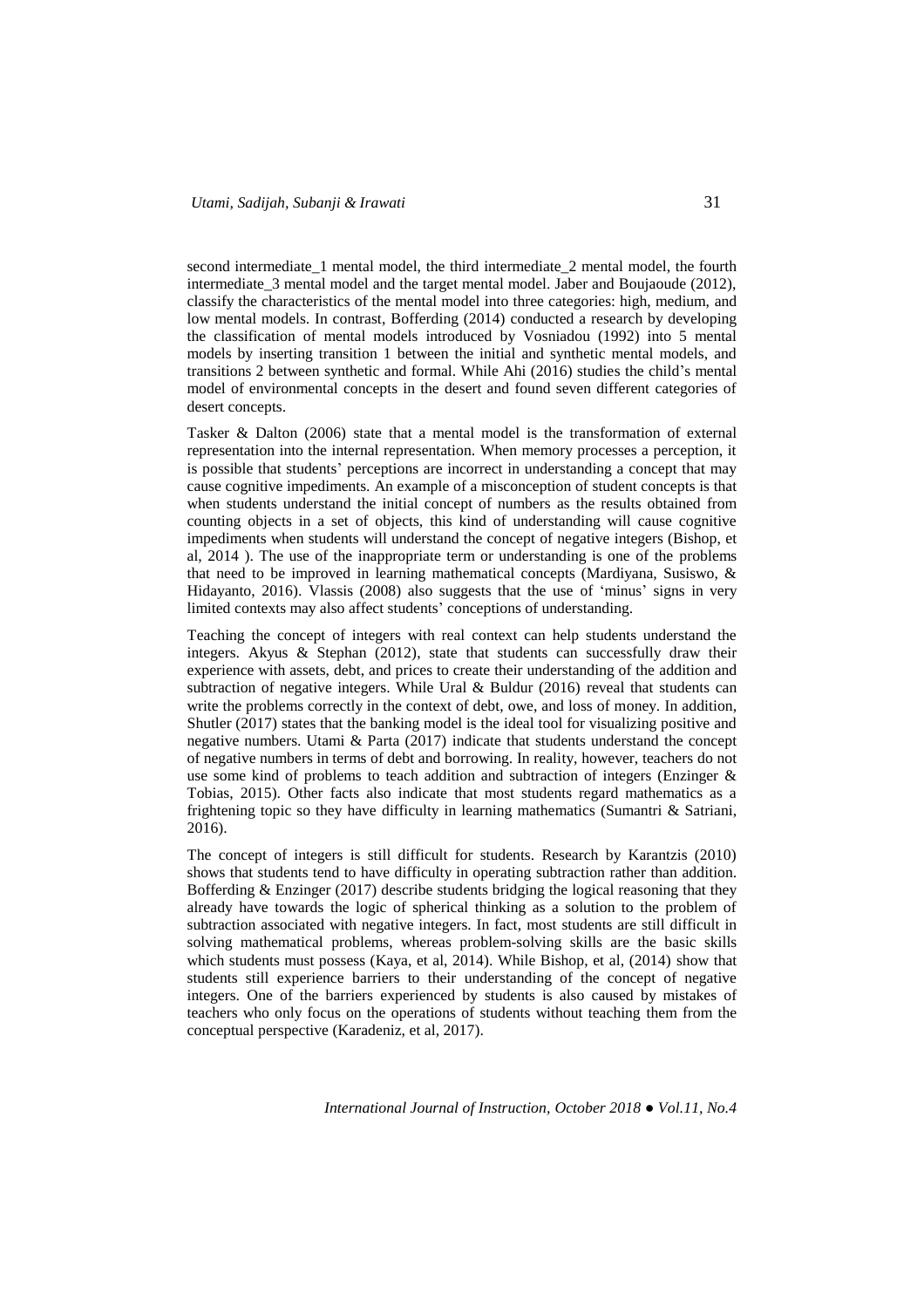second intermediate\_1 mental model, the third intermediate\_2 mental model, the fourth intermediate\_3 mental model and the target mental model. Jaber and Boujaoude (2012), classify the characteristics of the mental model into three categories: high, medium, and low mental models. In contrast, Bofferding (2014) conducted a research by developing the classification of mental models introduced by Vosniadou (1992) into 5 mental models by inserting transition 1 between the initial and synthetic mental models, and transitions 2 between synthetic and formal. While Ahi (2016) studies the child's mental model of environmental concepts in the desert and found seven different categories of desert concepts.

Tasker & Dalton (2006) state that a mental model is the transformation of external representation into the internal representation. When memory processes a perception, it is possible that students' perceptions are incorrect in understanding a concept that may cause cognitive impediments. An example of a misconception of student concepts is that when students understand the initial concept of numbers as the results obtained from counting objects in a set of objects, this kind of understanding will cause cognitive impediments when students will understand the concept of negative integers (Bishop, et al, 2014 ). The use of the inappropriate term or understanding is one of the problems that need to be improved in learning mathematical concepts (Mardiyana, Susiswo, & Hidayanto, 2016). Vlassis (2008) also suggests that the use of 'minus' signs in very limited contexts may also affect students' conceptions of understanding.

Teaching the concept of integers with real context can help students understand the integers. Akyus  $\&$  Stephan (2012), state that students can successfully draw their experience with assets, debt, and prices to create their understanding of the addition and subtraction of negative integers. While Ural & Buldur (2016) reveal that students can write the problems correctly in the context of debt, owe, and loss of money. In addition, Shutler (2017) states that the banking model is the ideal tool for visualizing positive and negative numbers. Utami & Parta (2017) indicate that students understand the concept of negative numbers in terms of debt and borrowing. In reality, however, teachers do not use some kind of problems to teach addition and subtraction of integers (Enzinger & Tobias, 2015). Other facts also indicate that most students regard mathematics as a frightening topic so they have difficulty in learning mathematics (Sumantri & Satriani, 2016).

The concept of integers is still difficult for students. Research by Karantzis (2010) shows that students tend to have difficulty in operating subtraction rather than addition. Bofferding & Enzinger (2017) describe students bridging the logical reasoning that they already have towards the logic of spherical thinking as a solution to the problem of subtraction associated with negative integers. In fact, most students are still difficult in solving mathematical problems, whereas problem-solving skills are the basic skills which students must possess (Kaya, et al, 2014). While Bishop, et al, (2014) show that students still experience barriers to their understanding of the concept of negative integers. One of the barriers experienced by students is also caused by mistakes of teachers who only focus on the operations of students without teaching them from the conceptual perspective (Karadeniz, et al, 2017).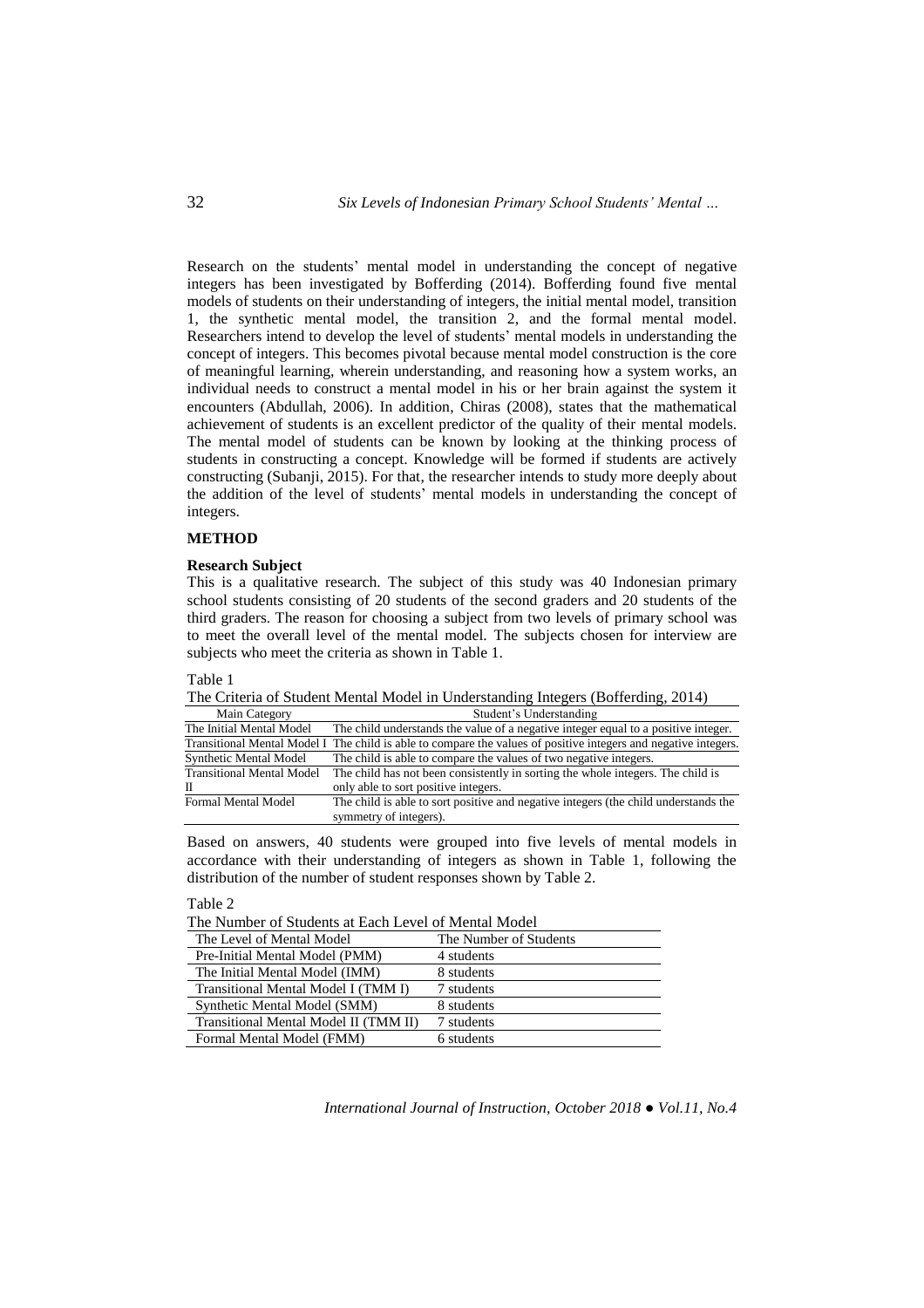Research on the students' mental model in understanding the concept of negative integers has been investigated by Bofferding (2014). Bofferding found five mental models of students on their understanding of integers, the initial mental model, transition 1, the synthetic mental model, the transition 2, and the formal mental model. Researchers intend to develop the level of students' mental models in understanding the concept of integers. This becomes pivotal because mental model construction is the core of meaningful learning, wherein understanding, and reasoning how a system works, an individual needs to construct a mental model in his or her brain against the system it encounters (Abdullah, 2006). In addition, Chiras (2008), states that the mathematical achievement of students is an excellent predictor of the quality of their mental models. The mental model of students can be known by looking at the thinking process of students in constructing a concept. Knowledge will be formed if students are actively constructing (Subanji, 2015). For that, the researcher intends to study more deeply about the addition of the level of students' mental models in understanding the concept of integers.

# **METHOD**

#### **Research Subject**

This is a qualitative research. The subject of this study was 40 Indonesian primary school students consisting of 20 students of the second graders and 20 students of the third graders. The reason for choosing a subject from two levels of primary school was to meet the overall level of the mental model. The subjects chosen for interview are subjects who meet the criteria as shown in Table 1.

#### Table 1

The Criteria of Student Mental Model in Understanding Integers (Bofferding, 2014)

| Main Category                    | Student's Understanding                                                                                         |
|----------------------------------|-----------------------------------------------------------------------------------------------------------------|
| The Initial Mental Model         | The child understands the value of a negative integer equal to a positive integer.                              |
|                                  | Transitional Mental Model I The child is able to compare the values of positive integers and negative integers. |
| Synthetic Mental Model           | The child is able to compare the values of two negative integers.                                               |
| <b>Transitional Mental Model</b> | The child has not been consistently in sorting the whole integers. The child is                                 |
| П                                | only able to sort positive integers.                                                                            |
| Formal Mental Model              | The child is able to sort positive and negative integers (the child understands the                             |
|                                  | symmetry of integers).                                                                                          |

Based on answers, 40 students were grouped into five levels of mental models in accordance with their understanding of integers as shown in Table 1, following the distribution of the number of student responses shown by Table 2.

#### Table 2

| The Level of Mental Model             | The Number of Students |
|---------------------------------------|------------------------|
| Pre-Initial Mental Model (PMM)        | 4 students             |
| The Initial Mental Model (IMM)        | 8 students             |
| Transitional Mental Model I (TMM I)   | 7 students             |
| Synthetic Mental Model (SMM)          | 8 students             |
| Transitional Mental Model II (TMM II) | 7 students             |
| Formal Mental Model (FMM)             | 6 students             |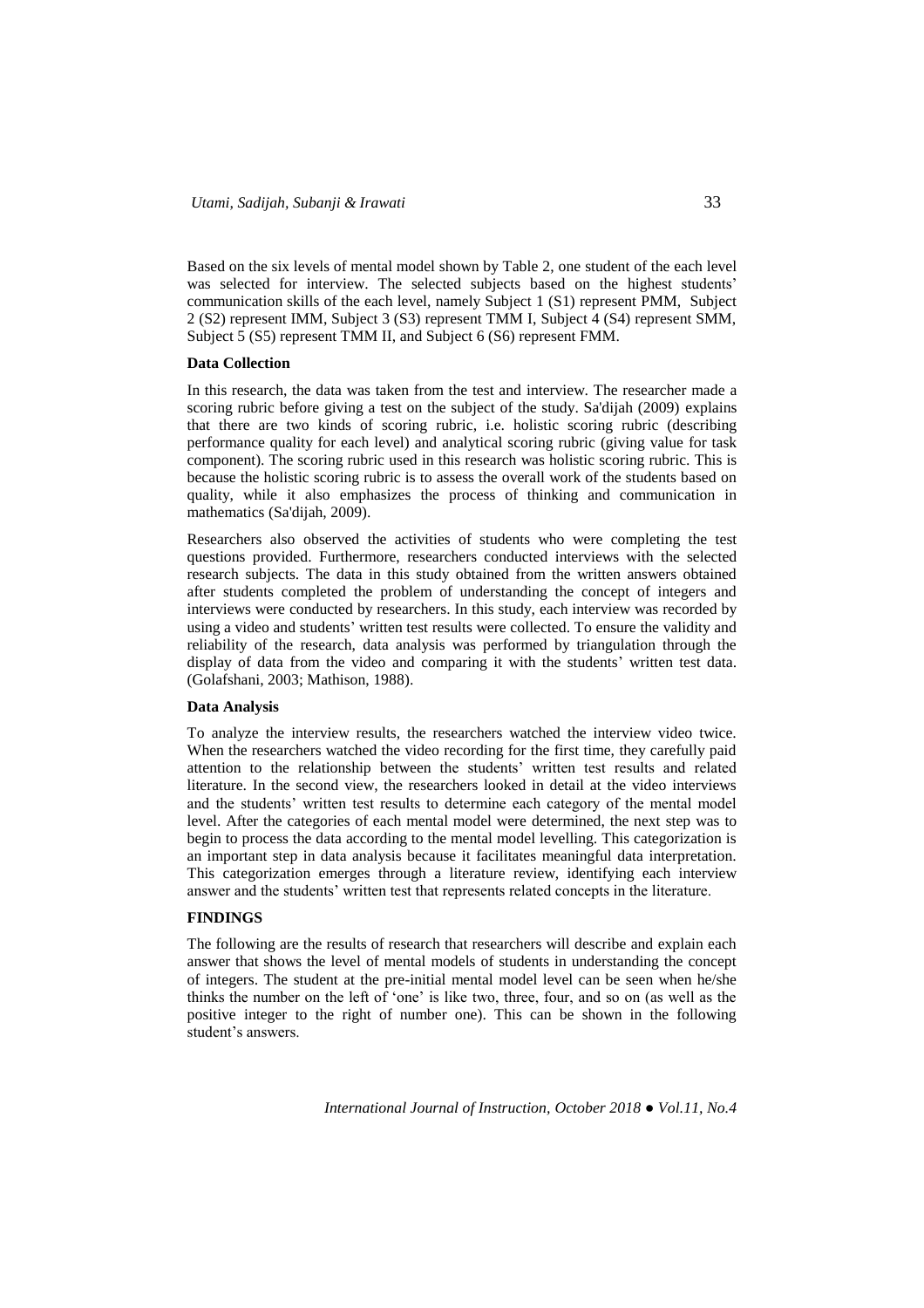Based on the six levels of mental model shown by Table 2, one student of the each level was selected for interview. The selected subjects based on the highest students' communication skills of the each level, namely Subject 1 (S1) represent PMM, Subject 2 (S2) represent IMM, Subject 3 (S3) represent TMM I, Subject 4 (S4) represent SMM, Subject 5 (S5) represent TMM II, and Subject 6 (S6) represent FMM.

#### **Data Collection**

In this research, the data was taken from the test and interview. The researcher made a scoring rubric before giving a test on the subject of the study. Sa'dijah (2009) explains that there are two kinds of scoring rubric, i.e. holistic scoring rubric (describing performance quality for each level) and analytical scoring rubric (giving value for task component). The scoring rubric used in this research was holistic scoring rubric. This is because the holistic scoring rubric is to assess the overall work of the students based on quality, while it also emphasizes the process of thinking and communication in mathematics (Sa'dijah, 2009).

Researchers also observed the activities of students who were completing the test questions provided. Furthermore, researchers conducted interviews with the selected research subjects. The data in this study obtained from the written answers obtained after students completed the problem of understanding the concept of integers and interviews were conducted by researchers. In this study, each interview was recorded by using a video and students' written test results were collected. To ensure the validity and reliability of the research, data analysis was performed by triangulation through the display of data from the video and comparing it with the students' written test data. (Golafshani, 2003; Mathison, 1988).

# **Data Analysis**

To analyze the interview results, the researchers watched the interview video twice. When the researchers watched the video recording for the first time, they carefully paid attention to the relationship between the students' written test results and related literature. In the second view, the researchers looked in detail at the video interviews and the students' written test results to determine each category of the mental model level. After the categories of each mental model were determined, the next step was to begin to process the data according to the mental model levelling. This categorization is an important step in data analysis because it facilitates meaningful data interpretation. This categorization emerges through a literature review, identifying each interview answer and the students' written test that represents related concepts in the literature.

## **FINDINGS**

The following are the results of research that researchers will describe and explain each answer that shows the level of mental models of students in understanding the concept of integers. The student at the pre-initial mental model level can be seen when he/she thinks the number on the left of 'one' is like two, three, four, and so on (as well as the positive integer to the right of number one). This can be shown in the following student's answers.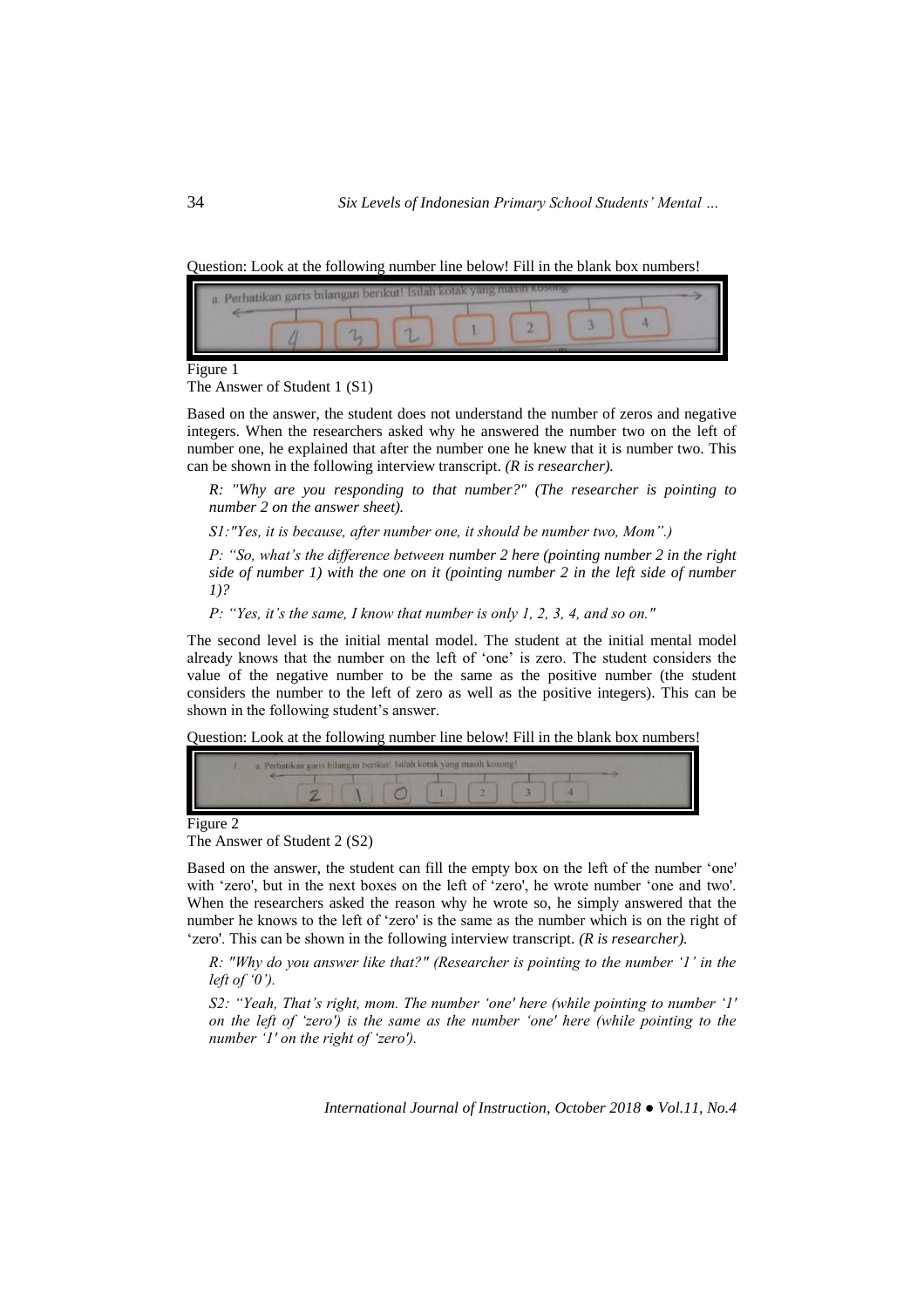Question: Look at the following number line below! Fill in the blank box numbers!



#### Figure 1

The Answer of Student 1 (S1)

Based on the answer, the student does not understand the number of zeros and negative integers. When the researchers asked why he answered the number two on the left of number one, he explained that after the number one he knew that it is number two. This can be shown in the following interview transcript. *(R is researcher).*

*R: "Why are you responding to that number?" (The researcher is pointing to number 2 on the answer sheet).*

*S1:"Yes, it is because, after number one, it should be number two, Mom".)*

*P: "So, what's the difference between number 2 here (pointing number 2 in the right side of number 1) with the one on it (pointing number 2 in the left side of number 1)?*

*P: "Yes, it's the same, I know that number is only 1, 2, 3, 4, and so on."*

The second level is the initial mental model. The student at the initial mental model already knows that the number on the left of 'one' is zero. The student considers the value of the negative number to be the same as the positive number (the student considers the number to the left of zero as well as the positive integers). This can be shown in the following student's answer.

Question: Look at the following number line below! Fill in the blank box numbers!



Figure 2

Based on the answer, the student can fill the empty box on the left of the number 'one' with 'zero', but in the next boxes on the left of 'zero', he wrote number 'one and two'. When the researchers asked the reason why he wrote so, he simply answered that the number he knows to the left of 'zero' is the same as the number which is on the right of 'zero'. This can be shown in the following interview transcript. *(R is researcher).*

*R: "Why do you answer like that?" (Researcher is pointing to the number '1' in the left of '0').*

*S2: "Yeah, That's right, mom. The number 'one' here (while pointing to number '1' on the left of 'zero') is the same as the number 'one' here (while pointing to the number '1' on the right of 'zero').*

The Answer of Student 2 (S2)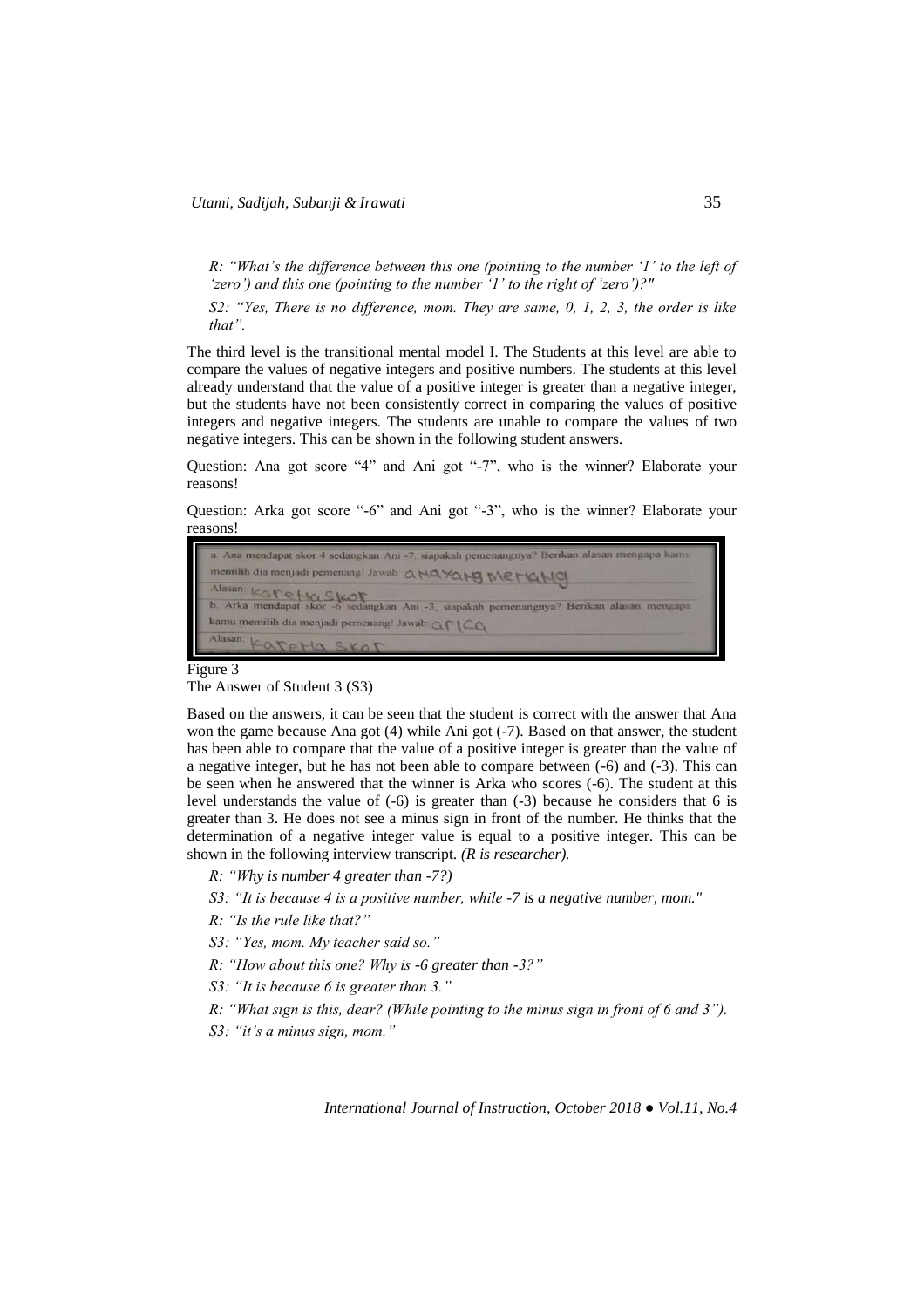*R: "What's the difference between this one (pointing to the number '1' to the left of 'zero') and this one (pointing to the number '1' to the right of 'zero')?"*

*S2: "Yes, There is no difference, mom. They are same, 0, 1, 2, 3, the order is like that".*

The third level is the transitional mental model I. The Students at this level are able to compare the values of negative integers and positive numbers. The students at this level already understand that the value of a positive integer is greater than a negative integer, but the students have not been consistently correct in comparing the values of positive integers and negative integers. The students are unable to compare the values of two negative integers. This can be shown in the following student answers.

Question: Ana got score "4" and Ani got "-7", who is the winner? Elaborate your reasons!

Question: Arka got score "-6" and Ani got "-3", who is the winner? Elaborate your reasons!



Figure 3

The Answer of Student 3 (S3)

Based on the answers, it can be seen that the student is correct with the answer that Ana won the game because Ana got (4) while Ani got (-7). Based on that answer, the student has been able to compare that the value of a positive integer is greater than the value of a negative integer, but he has not been able to compare between (-6) and (-3). This can be seen when he answered that the winner is Arka who scores (-6). The student at this level understands the value of (-6) is greater than (-3) because he considers that 6 is greater than 3. He does not see a minus sign in front of the number. He thinks that the determination of a negative integer value is equal to a positive integer. This can be shown in the following interview transcript. *(R is researcher).*

- *R: "Why is number 4 greater than -7?)*
- *S3: "It is because 4 is a positive number, while -7 is a negative number, mom."*
- *R: "Is the rule like that?"*
- *S3: "Yes, mom. My teacher said so."*
- *R: "How about this one? Why is -6 greater than -3?"*
- *S3: "It is because 6 is greater than 3."*
- *R: "What sign is this, dear? (While pointing to the minus sign in front of 6 and 3").*
- *S3: "it's a minus sign, mom."*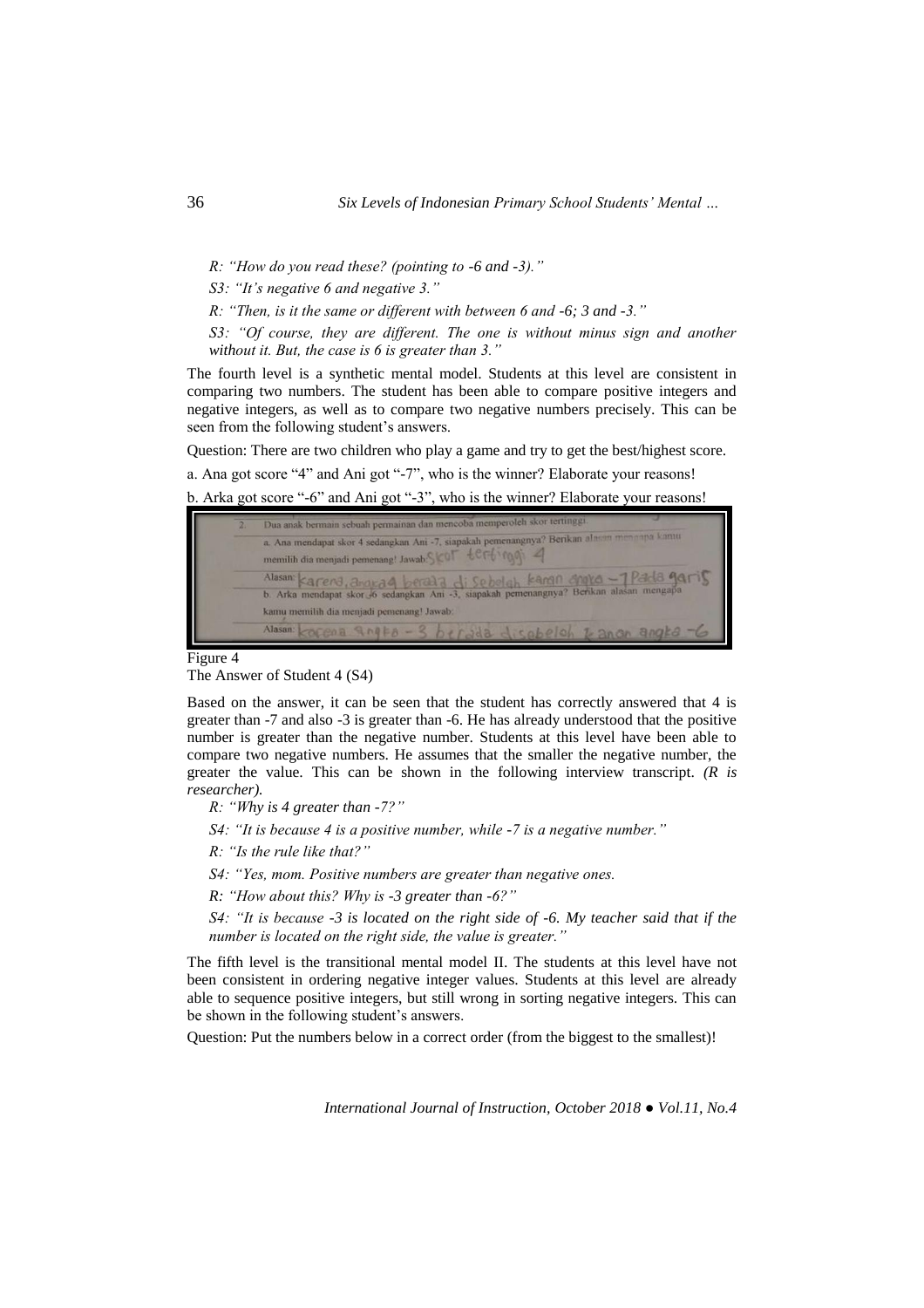- *R: "How do you read these? (pointing to -6 and -3)."*
- *S3: "It's negative 6 and negative 3."*
- *R: "Then, is it the same or different with between 6 and -6; 3 and -3."*

*S3: "Of course, they are different. The one is without minus sign and another without it. But, the case is 6 is greater than 3."*

The fourth level is a synthetic mental model. Students at this level are consistent in comparing two numbers. The student has been able to compare positive integers and negative integers, as well as to compare two negative numbers precisely. This can be seen from the following student's answers.

Question: There are two children who play a game and try to get the best/highest score.

a. Ana got score "4" and Ani got "-7", who is the winner? Elaborate your reasons!

b. Arka got score "-6" and Ani got "-3", who is the winner? Elaborate your reasons!

| Dua anak bermain sebuah permainan dan mencoba memperoleh skor tertinggi.                                                                                      |
|---------------------------------------------------------------------------------------------------------------------------------------------------------------|
| a. Ana mendapat skor 4 sedangkan Ani -7, siapakah pemenangnya? Berikan alasan menanpa kamu<br>memilih dia menjadi pemenang! Jawab.SKOT {Cr{\\togq\\ 4         |
| Alasan karena, angka4 berata di sebelah kanan angka - 7 Pada garis<br>b. Arka mendapat skor 36 sedangkan Ani -3, siapakah pemenangnya? Berikan alasan mengapa |
| kamu memilih dia menjadi pemenang! Jawab:                                                                                                                     |
| Alasan: corena angles - 3 berada disabeloh 2 anon angles -6                                                                                                   |

Figure 4

The Answer of Student 4 (S4)

Based on the answer, it can be seen that the student has correctly answered that 4 is greater than -7 and also -3 is greater than -6. He has already understood that the positive number is greater than the negative number. Students at this level have been able to compare two negative numbers. He assumes that the smaller the negative number, the greater the value. This can be shown in the following interview transcript. *(R is researcher).*

*R: "Why is 4 greater than -7?"*

*S4: "It is because 4 is a positive number, while -7 is a negative number."*

*R: "Is the rule like that?"*

*S4: "Yes, mom. Positive numbers are greater than negative ones.*

*R: "How about this? Why is -3 greater than -6?"*

*S4: "It is because -3 is located on the right side of -6. My teacher said that if the number is located on the right side, the value is greater."*

The fifth level is the transitional mental model II. The students at this level have not been consistent in ordering negative integer values. Students at this level are already able to sequence positive integers, but still wrong in sorting negative integers. This can be shown in the following student's answers.

Question: Put the numbers below in a correct order (from the biggest to the smallest)!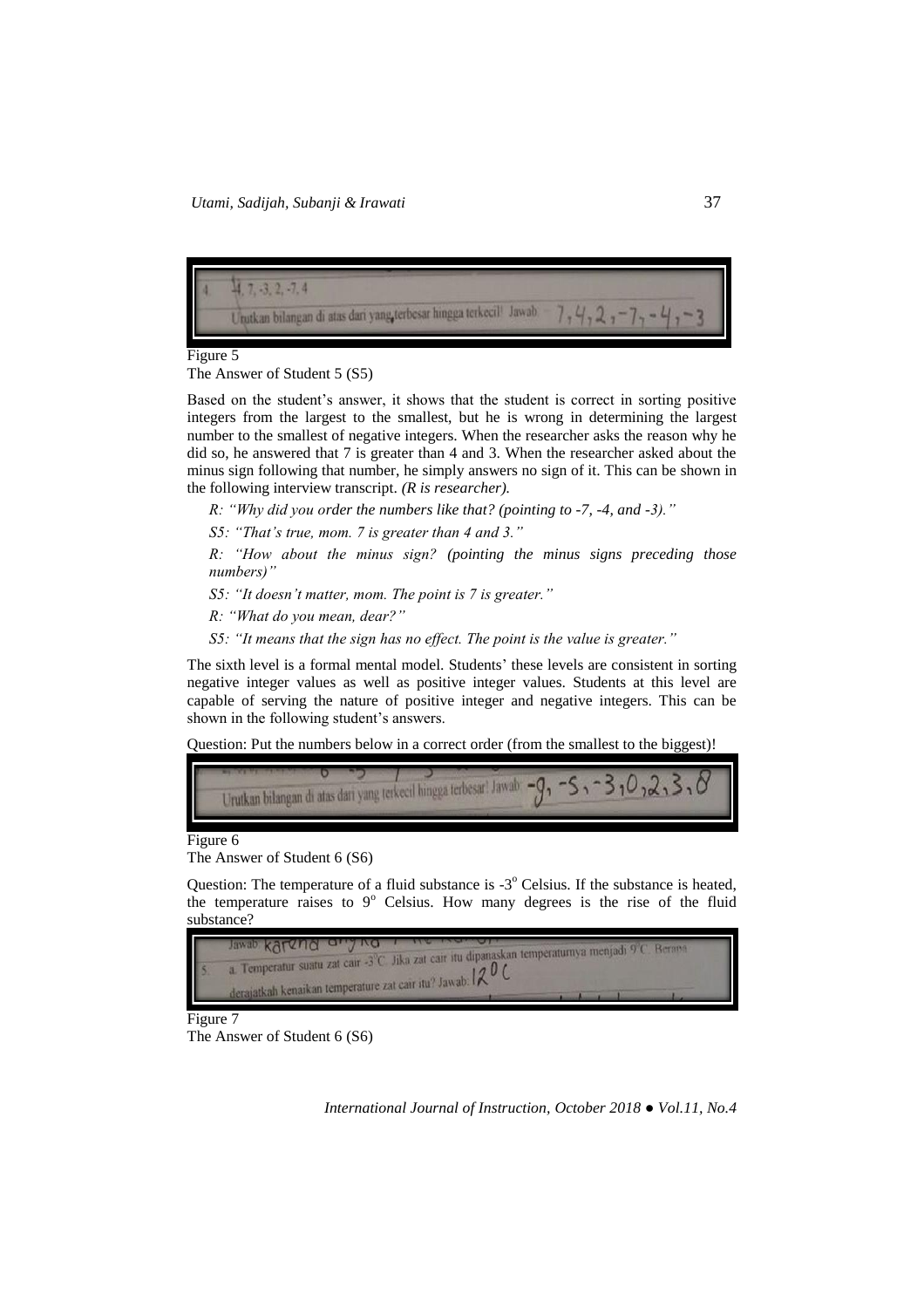

Figure 5

The Answer of Student 5 (S5)

Based on the student's answer, it shows that the student is correct in sorting positive integers from the largest to the smallest, but he is wrong in determining the largest number to the smallest of negative integers. When the researcher asks the reason why he did so, he answered that 7 is greater than 4 and 3. When the researcher asked about the minus sign following that number, he simply answers no sign of it. This can be shown in the following interview transcript. *(R is researcher).*

- *R: "Why did you order the numbers like that? (pointing to -7, -4, and -3)."*
- *S5: "That's true, mom. 7 is greater than 4 and 3."*

*R: "How about the minus sign? (pointing the minus signs preceding those numbers)"*

*S5: "It doesn't matter, mom. The point is 7 is greater."*

*R: "What do you mean, dear?"*

*S5: "It means that the sign has no effect. The point is the value is greater."*

The sixth level is a formal mental model. Students' these levels are consistent in sorting negative integer values as well as positive integer values. Students at this level are capable of serving the nature of positive integer and negative integers. This can be shown in the following student's answers.

Question: Put the numbers below in a correct order (from the smallest to the biggest)!



Figure 6

Question: The temperature of a fluid substance is -3<sup>°</sup> Celsius. If the substance is heated, the temperature raises to  $9^{\circ}$  Celsius. How many degrees is the rise of the fluid substance?



Figure 7

The Answer of Student 6 (S6)

The Answer of Student 6 (S6)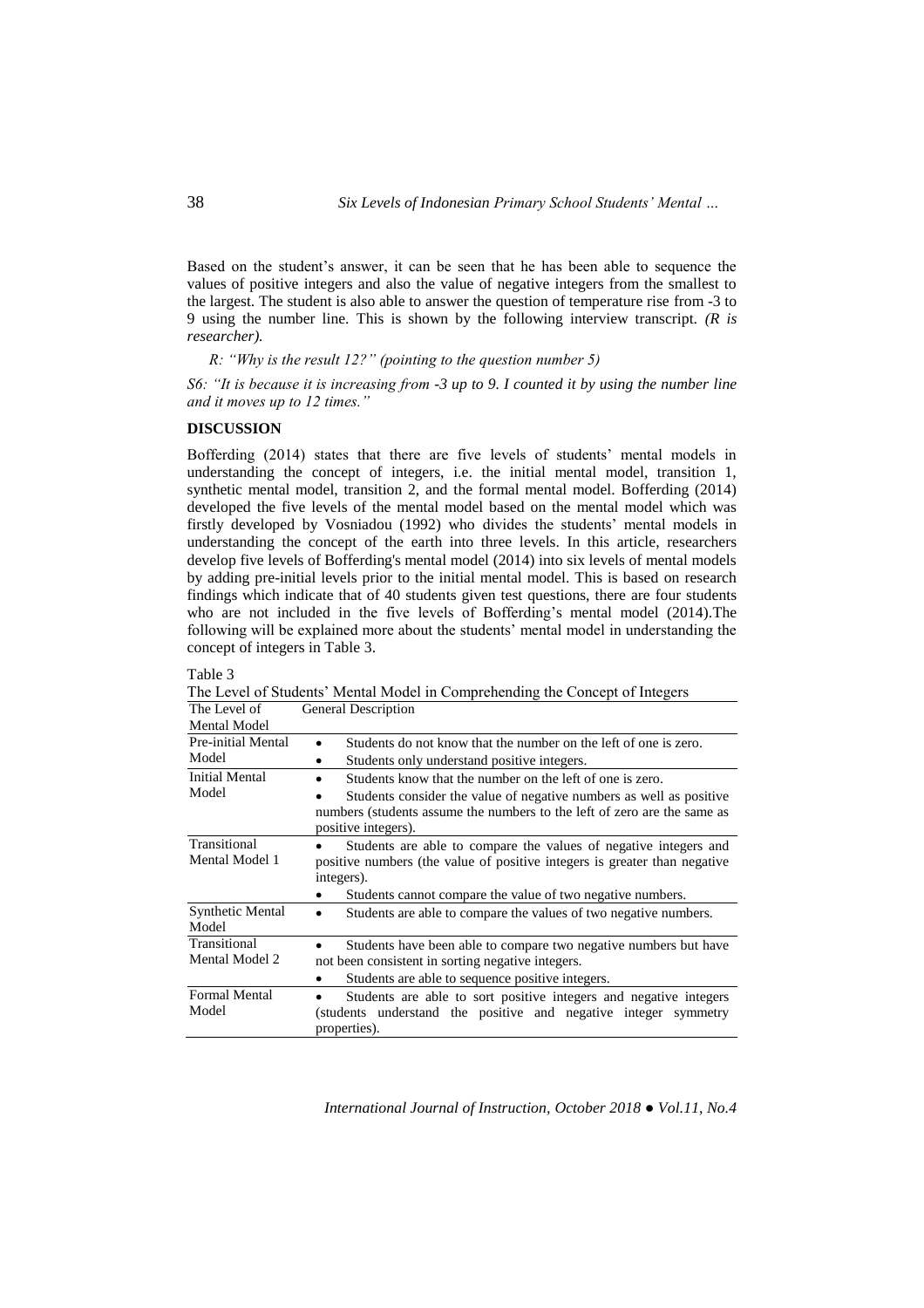Based on the student's answer, it can be seen that he has been able to sequence the values of positive integers and also the value of negative integers from the smallest to the largest. The student is also able to answer the question of temperature rise from -3 to 9 using the number line. This is shown by the following interview transcript. *(R is researcher).*

*R: "Why is the result 12?" (pointing to the question number 5)*

*S6: "It is because it is increasing from -3 up to 9. I counted it by using the number line and it moves up to 12 times."*

### **DISCUSSION**

Table 3

Bofferding (2014) states that there are five levels of students' mental models in understanding the concept of integers, i.e. the initial mental model, transition 1, synthetic mental model, transition 2, and the formal mental model. Bofferding (2014) developed the five levels of the mental model based on the mental model which was firstly developed by Vosniadou (1992) who divides the students' mental models in understanding the concept of the earth into three levels. In this article, researchers develop five levels of Bofferding's mental model (2014) into six levels of mental models by adding pre-initial levels prior to the initial mental model. This is based on research findings which indicate that of 40 students given test questions, there are four students who are not included in the five levels of Bofferding's mental model (2014).The following will be explained more about the students' mental model in understanding the concept of integers in Table 3.

| The Level of Students' Mental Model in Comprehending the Concept of Integers |                                                                               |  |
|------------------------------------------------------------------------------|-------------------------------------------------------------------------------|--|
| The Level of                                                                 | General Description                                                           |  |
| <b>Mental Model</b>                                                          |                                                                               |  |
| Pre-initial Mental                                                           | Students do not know that the number on the left of one is zero.              |  |
| Model                                                                        | Students only understand positive integers.                                   |  |
| Initial Mental                                                               | Students know that the number on the left of one is zero.                     |  |
| Model                                                                        | Students consider the value of negative numbers as well as positive           |  |
|                                                                              | numbers (students assume the numbers to the left of zero are the same as      |  |
|                                                                              | positive integers).                                                           |  |
| Transitional                                                                 | Students are able to compare the values of negative integers and              |  |
| Mental Model 1                                                               | positive numbers (the value of positive integers is greater than negative     |  |
|                                                                              | integers).                                                                    |  |
|                                                                              | Students cannot compare the value of two negative numbers.                    |  |
| <b>Synthetic Mental</b>                                                      | Students are able to compare the values of two negative numbers.<br>$\bullet$ |  |
| Model                                                                        |                                                                               |  |
| Transitional                                                                 | Students have been able to compare two negative numbers but have              |  |
| Mental Model 2                                                               | not been consistent in sorting negative integers.                             |  |
|                                                                              | Students are able to sequence positive integers.                              |  |
| <b>Formal Mental</b>                                                         | Students are able to sort positive integers and negative integers             |  |
| Model                                                                        | (students understand the positive and negative integer symmetry               |  |
|                                                                              | properties).                                                                  |  |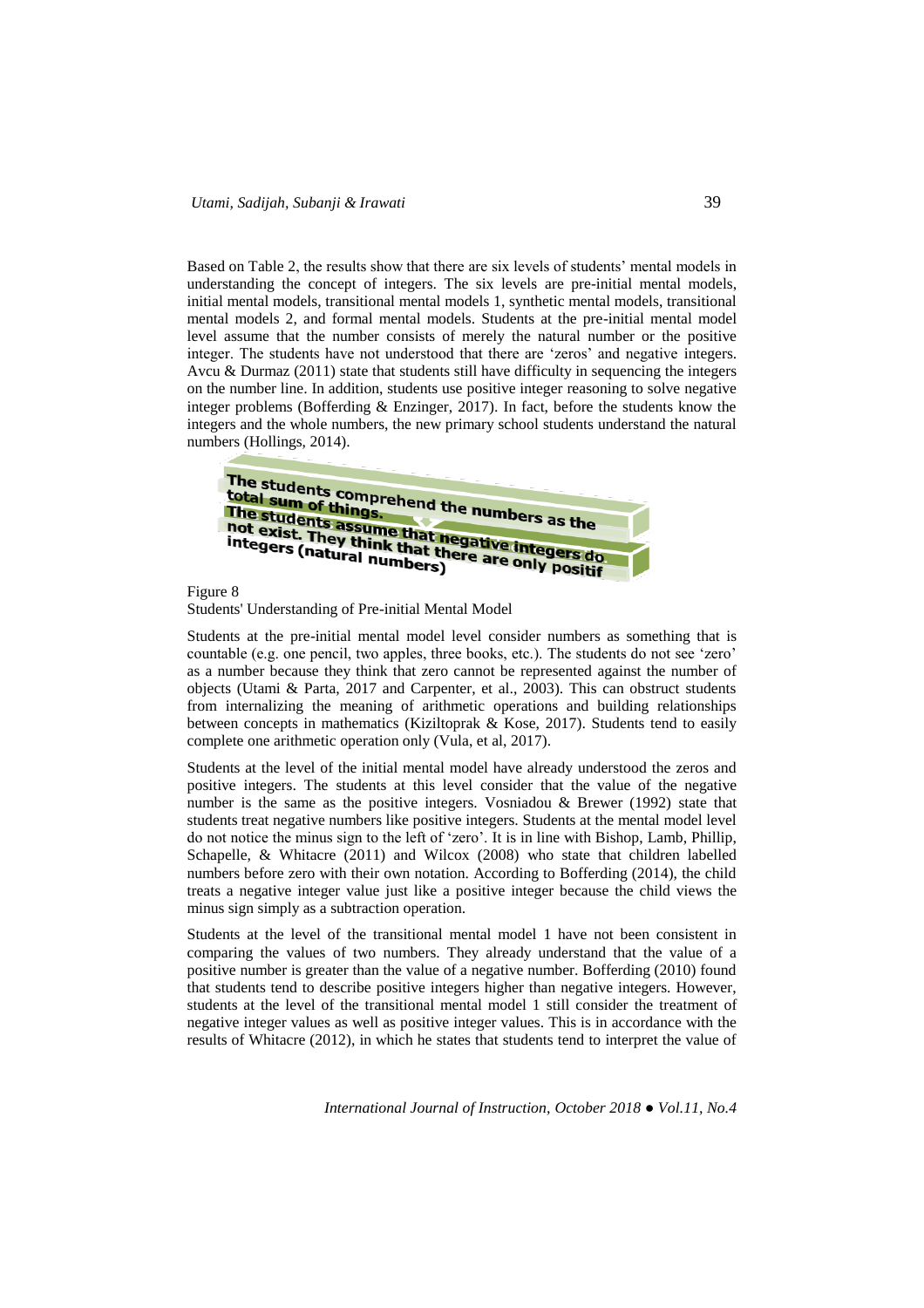Based on Table 2, the results show that there are six levels of students' mental models in understanding the concept of integers. The six levels are pre-initial mental models, initial mental models, transitional mental models 1, synthetic mental models, transitional mental models 2, and formal mental models. Students at the pre-initial mental model level assume that the number consists of merely the natural number or the positive integer. The students have not understood that there are 'zeros' and negative integers. Avcu & Durmaz (2011) state that students still have difficulty in sequencing the integers on the number line. In addition, students use positive integer reasoning to solve negative integer problems (Bofferding & Enzinger, 2017). In fact, before the students know the integers and the whole numbers, the new primary school students understand the natural numbers (Hollings, 2014).



Figure 8

Students' Understanding of Pre-initial Mental Model

Students at the pre-initial mental model level consider numbers as something that is countable (e.g. one pencil, two apples, three books, etc.). The students do not see 'zero' as a number because they think that zero cannot be represented against the number of objects (Utami & Parta, 2017 and Carpenter, et al., 2003). This can obstruct students from internalizing the meaning of arithmetic operations and building relationships between concepts in mathematics (Kiziltoprak & Kose, 2017). Students tend to easily complete one arithmetic operation only (Vula, et al, 2017).

Students at the level of the initial mental model have already understood the zeros and positive integers. The students at this level consider that the value of the negative number is the same as the positive integers. Vosniadou & Brewer (1992) state that students treat negative numbers like positive integers. Students at the mental model level do not notice the minus sign to the left of 'zero'. It is in line with Bishop, Lamb, Phillip, Schapelle, & Whitacre (2011) and Wilcox (2008) who state that children labelled numbers before zero with their own notation. According to Bofferding (2014), the child treats a negative integer value just like a positive integer because the child views the minus sign simply as a subtraction operation.

Students at the level of the transitional mental model 1 have not been consistent in comparing the values of two numbers. They already understand that the value of a positive number is greater than the value of a negative number. Bofferding (2010) found that students tend to describe positive integers higher than negative integers. However, students at the level of the transitional mental model 1 still consider the treatment of negative integer values as well as positive integer values. This is in accordance with the results of Whitacre (2012), in which he states that students tend to interpret the value of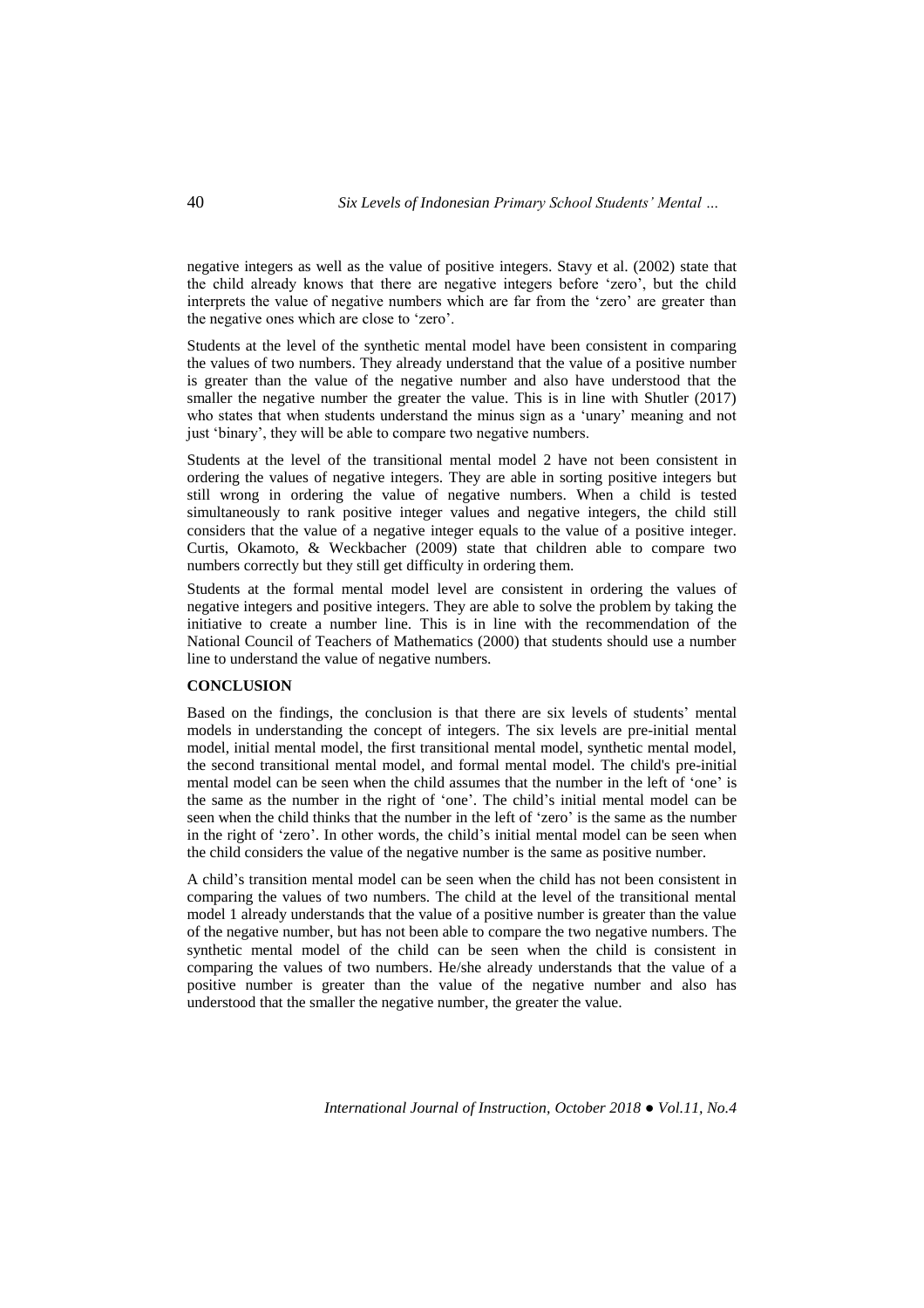negative integers as well as the value of positive integers. Stavy et al. (2002) state that the child already knows that there are negative integers before 'zero', but the child interprets the value of negative numbers which are far from the 'zero' are greater than the negative ones which are close to 'zero'.

Students at the level of the synthetic mental model have been consistent in comparing the values of two numbers. They already understand that the value of a positive number is greater than the value of the negative number and also have understood that the smaller the negative number the greater the value. This is in line with Shutler (2017) who states that when students understand the minus sign as a 'unary' meaning and not just 'binary', they will be able to compare two negative numbers.

Students at the level of the transitional mental model 2 have not been consistent in ordering the values of negative integers. They are able in sorting positive integers but still wrong in ordering the value of negative numbers. When a child is tested simultaneously to rank positive integer values and negative integers, the child still considers that the value of a negative integer equals to the value of a positive integer. Curtis, Okamoto, & Weckbacher (2009) state that children able to compare two numbers correctly but they still get difficulty in ordering them.

Students at the formal mental model level are consistent in ordering the values of negative integers and positive integers. They are able to solve the problem by taking the initiative to create a number line. This is in line with the recommendation of the National Council of Teachers of Mathematics (2000) that students should use a number line to understand the value of negative numbers.

# **CONCLUSION**

Based on the findings, the conclusion is that there are six levels of students' mental models in understanding the concept of integers. The six levels are pre-initial mental model, initial mental model, the first transitional mental model, synthetic mental model, the second transitional mental model, and formal mental model. The child's pre-initial mental model can be seen when the child assumes that the number in the left of 'one' is the same as the number in the right of 'one'. The child's initial mental model can be seen when the child thinks that the number in the left of 'zero' is the same as the number in the right of 'zero'. In other words, the child's initial mental model can be seen when the child considers the value of the negative number is the same as positive number.

A child's transition mental model can be seen when the child has not been consistent in comparing the values of two numbers. The child at the level of the transitional mental model 1 already understands that the value of a positive number is greater than the value of the negative number, but has not been able to compare the two negative numbers. The synthetic mental model of the child can be seen when the child is consistent in comparing the values of two numbers. He/she already understands that the value of a positive number is greater than the value of the negative number and also has understood that the smaller the negative number, the greater the value.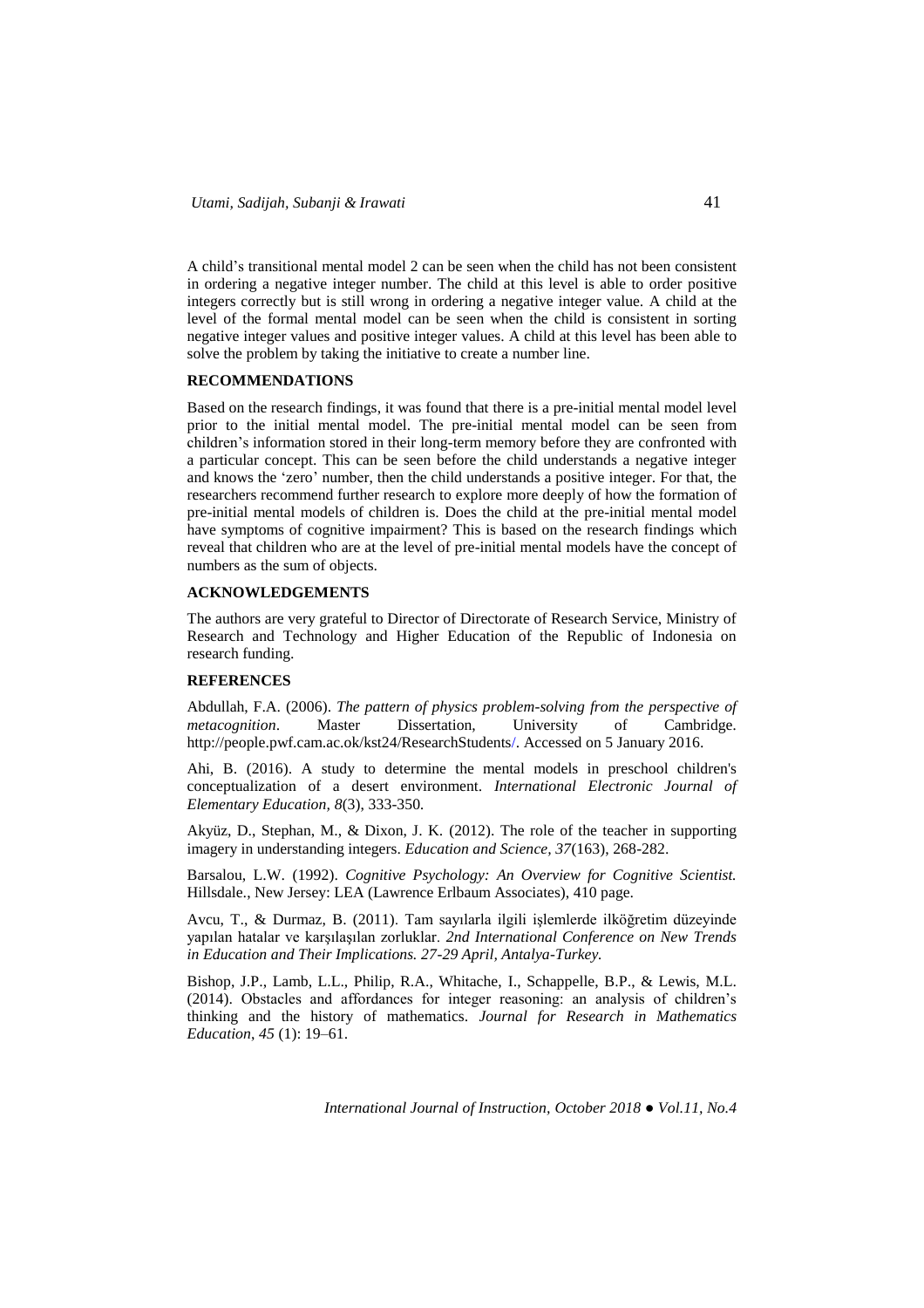A child's transitional mental model 2 can be seen when the child has not been consistent in ordering a negative integer number. The child at this level is able to order positive integers correctly but is still wrong in ordering a negative integer value. A child at the level of the formal mental model can be seen when the child is consistent in sorting negative integer values and positive integer values. A child at this level has been able to solve the problem by taking the initiative to create a number line.

# **RECOMMENDATIONS**

Based on the research findings, it was found that there is a pre-initial mental model level prior to the initial mental model. The pre-initial mental model can be seen from children's information stored in their long-term memory before they are confronted with a particular concept. This can be seen before the child understands a negative integer and knows the 'zero' number, then the child understands a positive integer. For that, the researchers recommend further research to explore more deeply of how the formation of pre-initial mental models of children is. Does the child at the pre-initial mental model have symptoms of cognitive impairment? This is based on the research findings which reveal that children who are at the level of pre-initial mental models have the concept of numbers as the sum of objects.

### **ACKNOWLEDGEMENTS**

The authors are very grateful to Director of Directorate of Research Service, Ministry of Research and Technology and Higher Education of the Republic of Indonesia on research funding.

## **REFERENCES**

Abdullah, F.A. (2006). *The pattern of physics problem-solving from the perspective of metacognition*. Master Dissertation, University of Cambridge*.* http://people.pwf.cam.ac.ok/kst24/ResearchStudents/. Accessed on 5 January 2016.

Ahi, B. (2016). A study to determine the mental models in preschool children's conceptualization of a desert environment. *International Electronic Journal of Elementary Education, 8*(3), 333-350*.*

Akyüz, D., Stephan, M., & Dixon, J. K. (2012). The role of the teacher in supporting imagery in understanding integers. *Education and Science, 37*(163), 268-282.

Barsalou, L.W. (1992). *Cognitive Psychology: An Overview for Cognitive Scientist.*  Hillsdale., New Jersey: LEA (Lawrence Erlbaum Associates), 410 page.

Avcu, T., & Durmaz, B. (2011). Tam sayılarla ilgili işlemlerde ilköğretim düzeyinde yapılan hatalar ve karşılaşılan zorluklar. *2nd International Conference on New Trends in Education and Their Implications. 27-29 April, Antalya-Turkey.*

Bishop, J.P., Lamb, L.L., Philip, R.A., Whitache, I., Schappelle, B.P., & Lewis, M.L. (2014). Obstacles and affordances for integer reasoning: an analysis of children's thinking and the history of mathematics. *Journal for Research in Mathematics Education*, *45* (1): 19–61.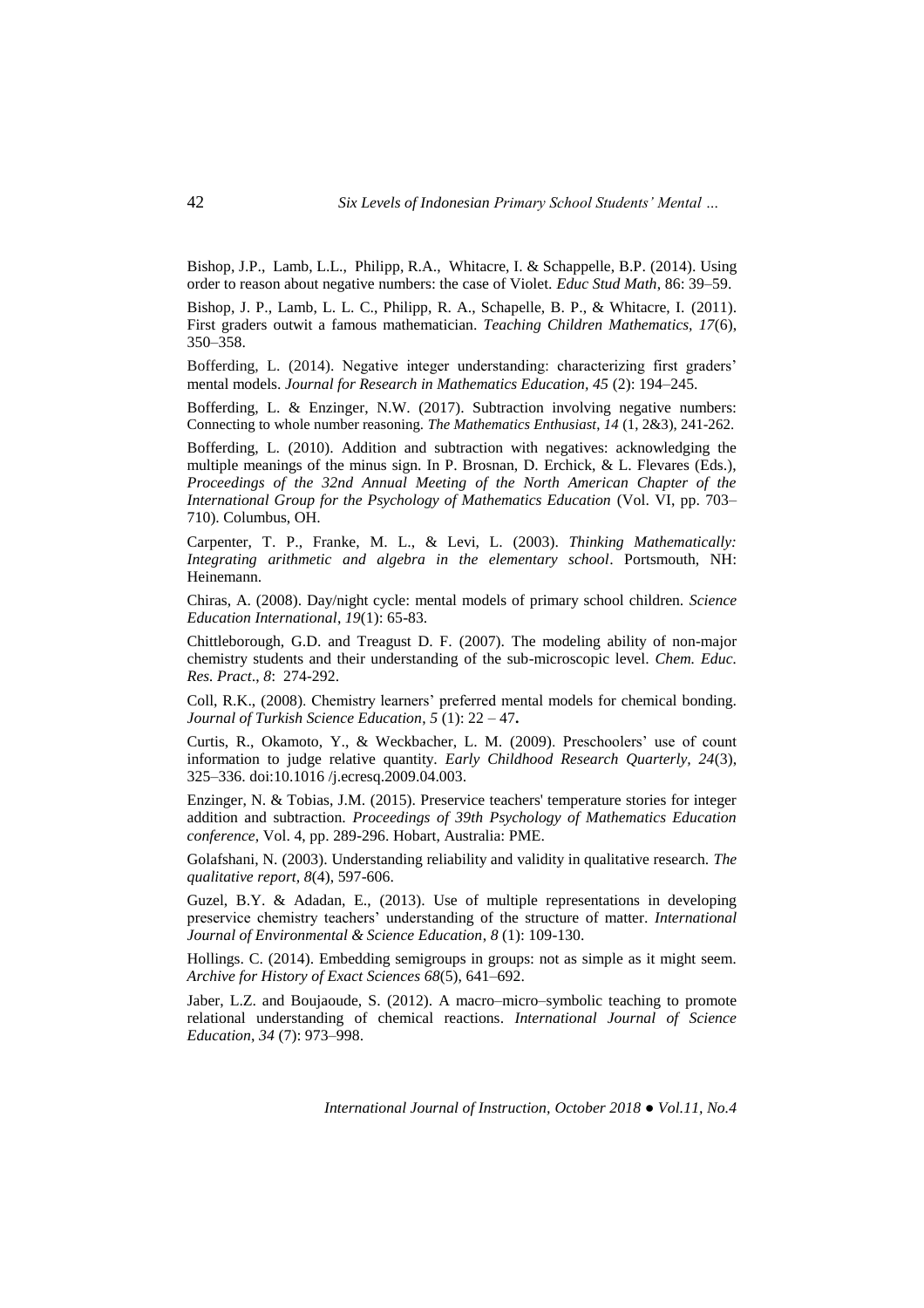Bishop, J.P., Lamb, L.L., Philipp, R.A., Whitacre, I. & Schappelle, B.P. (2014). Using order to reason about negative numbers: the case of Violet. *Educ Stud Math*, 86: 39–59.

Bishop, J. P., Lamb, L. L. C., Philipp, R. A., Schapelle, B. P., & Whitacre, I. (2011). First graders outwit a famous mathematician. *Teaching Children Mathematics, 17*(6), 350–358.

Bofferding, L. (2014). Negative integer understanding: characterizing first graders' mental models. *Journal for Research in Mathematics Education, 45* (2): 194–245.

Bofferding, L. & Enzinger, N.W. (2017). Subtraction involving negative numbers: Connecting to whole number reasoning. *The Mathematics Enthusiast*, *14* (1, 2&3), 241-262.

Bofferding, L. (2010). Addition and subtraction with negatives: acknowledging the multiple meanings of the minus sign. In P. Brosnan, D. Erchick, & L. Flevares (Eds.), *Proceedings of the 32nd Annual Meeting of the North American Chapter of the International Group for the Psychology of Mathematics Education* (Vol. VI, pp. 703– 710). Columbus, OH.

Carpenter, T. P., Franke, M. L., & Levi, L. (2003). *Thinking Mathematically: Integrating arithmetic and algebra in the elementary school*. Portsmouth, NH: Heinemann.

Chiras, A. (2008). Day/night cycle: mental models of primary school children. *Science Education International*, *19*(1): 65-83.

Chittleborough, G.D. and Treagust D. F. (2007). The modeling ability of non-major chemistry students and their understanding of the sub-microscopic level. *Chem. Educ. Res. Pract*., *8*: 274-292.

Coll, R.K., (2008). Chemistry learners' preferred mental models for chemical bonding. *Journal of Turkish Science Education*, *5* (1): 22 – 47**.**

Curtis, R., Okamoto, Y., & Weckbacher, L. M. (2009). Preschoolers' use of count information to judge relative quantity. *Early Childhood Research Quarterly, 24*(3), 325–336. doi:10.1016 /j.ecresq.2009.04.003.

Enzinger, N. & Tobias, J.M. (2015). Preservice teachers' temperature stories for integer addition and subtraction. *Proceedings of 39th Psychology of Mathematics Education conference*, Vol. 4, pp. 289-296. Hobart, Australia: PME.

Golafshani, N. (2003). Understanding reliability and validity in qualitative research. *The qualitative report, 8*(4), 597-606.

Guzel, B.Y. & Adadan, E., (2013). Use of multiple representations in developing preservice chemistry teachers' understanding of the structure of matter. *International Journal of Environmental & Science Education*, *8* (1): 109-130.

Hollings. C. (2014). Embedding semigroups in groups: not as simple as it might seem*. Archive for History of Exact Sciences 68*(5), 641–692.

Jaber, L.Z. and Boujaoude, S. (2012). A macro–micro–symbolic teaching to promote relational understanding of chemical reactions. *International Journal of Science Education*, *34* (7): 973–998.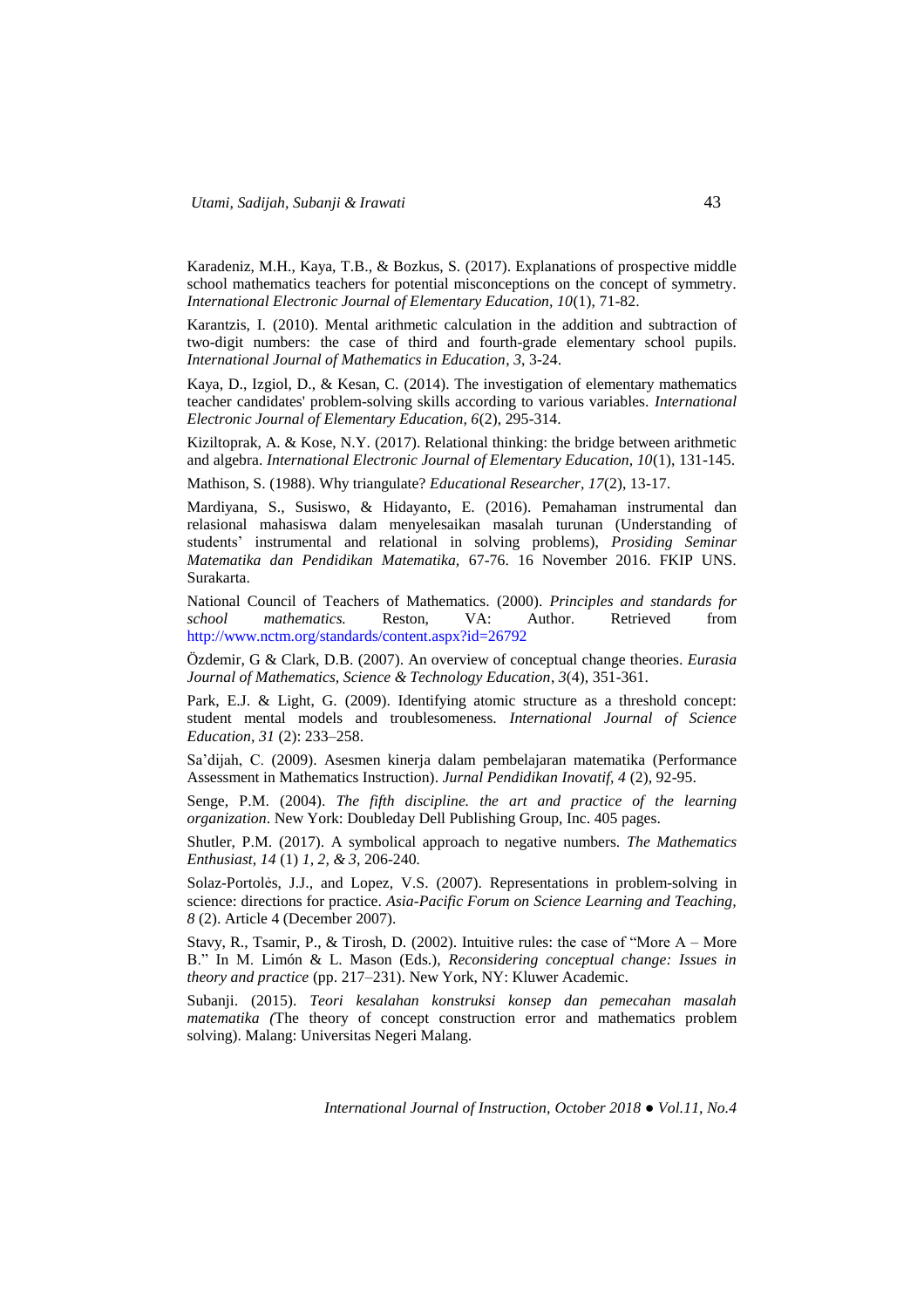Karadeniz, M.H., Kaya, T.B., & Bozkus, S. (2017). Explanations of prospective middle school mathematics teachers for potential misconceptions on the concept of symmetry. *International Electronic Journal of Elementary Education, 10*(1), 71-82.

Karantzis, I. (2010). Mental arithmetic calculation in the addition and subtraction of two-digit numbers: the case of third and fourth-grade elementary school pupils. *International Journal of Mathematics in Education*, *3*, 3-24.

Kaya, D., Izgiol, D., & Kesan, C. (2014). The investigation of elementary mathematics teacher candidates' problem-solving skills according to various variables. *International Electronic Journal of Elementary Education, 6*(2), 295-314.

Kiziltoprak, A. & Kose, N.Y. (2017). Relational thinking: the bridge between arithmetic and algebra. *International Electronic Journal of Elementary Education, 10*(1), 131-145.

Mathison, S. (1988). Why triangulate? *Educational Researcher, 17*(2), 13-17.

Mardiyana, S., Susiswo, & Hidayanto, E. (2016). Pemahaman instrumental dan relasional mahasiswa dalam menyelesaikan masalah turunan (Understanding of students' instrumental and relational in solving problems), *Prosiding Seminar Matematika dan Pendidikan Matematika,* 67-76. 16 November 2016. FKIP UNS. Surakarta.

National Council of Teachers of Mathematics. (2000). *Principles and standards for school mathematics.* Reston, VA: Author. Retrieved from <http://www.nctm.org/standards/content.aspx?id=26792>

Özdemir, G & Clark, D.B. (2007). An overview of conceptual change theories. *Eurasia Journal of Mathematics, Science & Technology Education*, *3*(4), 351-361.

Park, E.J. & Light, G. (2009). Identifying atomic structure as a threshold concept: student mental models and troublesomeness. *International Journal of Science Education*, *31* (2): 233–258.

Sa'dijah, C. (2009). Asesmen kinerja dalam pembelajaran matematika (Performance Assessment in Mathematics Instruction). *Jurnal Pendidikan Inovatif, 4* (2), 92-95.

Senge, P.M. (2004). *The fifth discipline. the art and practice of the learning organization*. New York: Doubleday Dell Publishing Group, Inc. 405 pages.

Shutler, P.M. (2017). A symbolical approach to negative numbers. *The Mathematics Enthusiast*, *14* (1) *1, 2, & 3,* 206-240*.*

Solaz-Portolẻs, J.J., and Lopez, V.S. (2007). Representations in problem-solving in science: directions for practice. *Asia-Pacific Forum on Science Learning and Teaching, 8* (2). Article 4 (December 2007).

Stavy, R., Tsamir, P., & Tirosh, D. (2002). Intuitive rules: the case of "More  $A -$ More B." In M. Limón & L. Mason (Eds.), *Reconsidering conceptual change: Issues in theory and practice* (pp. 217–231). New York, NY: Kluwer Academic.

Subanji. (2015). *Teori kesalahan konstruksi konsep dan pemecahan masalah matematika (*The theory of concept construction error and mathematics problem solving). Malang: Universitas Negeri Malang.